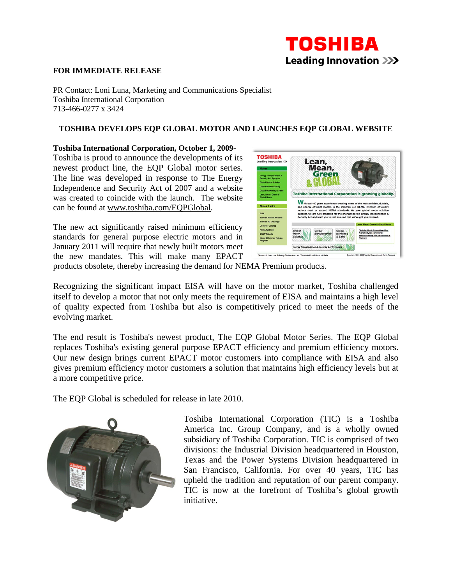## **TOSHIBA Leading Innovation >>>**

## **FOR IMMEDIATE RELEASE**

PR Contact: Loni Luna, Marketing and Communications Specialist Toshiba International Corporation 713-466-0277 x 3424

## **TOSHIBA DEVELOPS EQP GLOBAL MOTOR AND LAUNCHES EQP GLOBAL WEBSITE**

**Toshiba International Corporation, October 1, 2009-**

Toshiba is proud to announce the developments of its newest product line, the EQP Global motor series. The line was developed in response to The Energy Independence and Security Act of 2007 and a website was created to coincide with the launch. The website can be found at www.toshiba.com/EQPGlobal.

The new act significantly raised minimum efficiency standards for general purpose electric motors and in January 2011 will require that newly built motors meet the new mandates. This will make many EPACT



products obsolete, thereby increasing the demand for NEMA Premium products.

Recognizing the significant impact EISA will have on the motor market, Toshiba challenged itself to develop a motor that not only meets the requirement of EISA and maintains a high level of quality expected from Toshiba but also is competitively priced to meet the needs of the evolving market.

The end result is Toshiba's newest product, The EQP Global Motor Series. The EQP Global replaces Toshiba's existing general purpose EPACT efficiency and premium efficiency motors. Our new design brings current EPACT motor customers into compliance with EISA and also gives premium efficiency motor customers a solution that maintains high efficiency levels but at a more competitive price.

The EQP Global is scheduled for release in late 2010.



Toshiba International Corporation (TIC) is a Toshiba America Inc. Group Company, and is a wholly owned subsidiary of Toshiba Corporation. TIC is comprised of two divisions: the Industrial Division headquartered in Houston, Texas and the Power Systems Division headquartered in San Francisco, California. For over 40 years, TIC has upheld the tradition and reputation of our parent company. TIC is now at the forefront of Toshiba's global growth initiative.